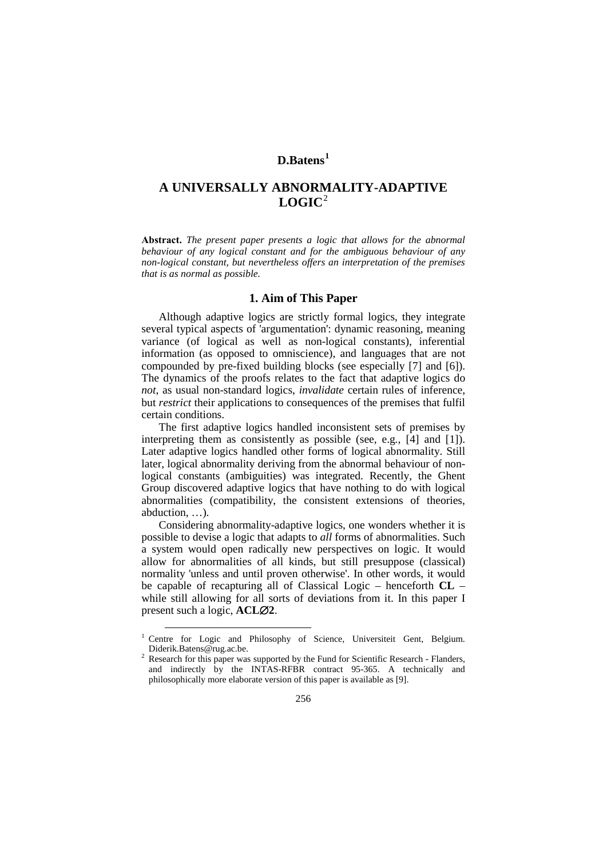## **D.Batens[1](#page-0-0)**

# **A UNIVERSALLY ABNORMALITY-ADAPTIVE LOGIC**[2](#page-0-1)

**Аbstract.** *The present paper presents a logic that allows for the abnormal behaviour of any logical constant and for the ambiguous behaviour of any non-logical constant, but nevertheless offers an interpretation of the premises that is as normal as possible.*

## **1. Aim of This Paper**

Although adaptive logics are strictly formal logics, they integrate several typical aspects of 'argumentation': dynamic reasoning, meaning variance (of logical as well as non-logical constants), inferential information (as opposed to omniscience), and languages that are not compounded by pre-fixed building blocks (see especially [7] and [6]). The dynamics of the proofs relates to the fact that adaptive logics do *not*, as usual non-standard logics, *invalidate* certain rules of inference, but *restrict* their applications to consequences of the premises that fulfil certain conditions.

The first adaptive logics handled inconsistent sets of premises by interpreting them as consistently as possible (see, e.g*.*, [4] and [1]). Later adaptive logics handled other forms of logical abnormality. Still later, logical abnormality deriving from the abnormal behaviour of nonlogical constants (ambiguities) was integrated. Recently, the Ghent Group discovered adaptive logics that have nothing to do with logical abnormalities (compatibility, the consistent extensions of theories, abduction, …).

Considering abnormality-adaptive logics, one wonders whether it is possible to devise a logic that adapts to *all* forms of abnormalities. Such a system would open radically new perspectives on logic. It would allow for abnormalities of all kinds, but still presuppose (classical) normality 'unless and until proven otherwise'. In other words, it would be capable of recapturing all of Classical Logic – henceforth **CL** – while still allowing for all sorts of deviations from it. In this paper I present such a logic, **ACL**∅**2**.

 $\overline{a}$ 

<span id="page-0-1"></span><span id="page-0-0"></span><sup>&</sup>lt;sup>1</sup> Centre for Logic and Philosophy of Science, Universiteit Gent, Belgium. Diderik.Batens@rug.ac.be.

Research for this paper was supported by the Fund for Scientific Research - Flanders, and indirectly by the INTAS-RFBR contract 95-365. A technically and philosophically more elaborate version of this paper is available as [9].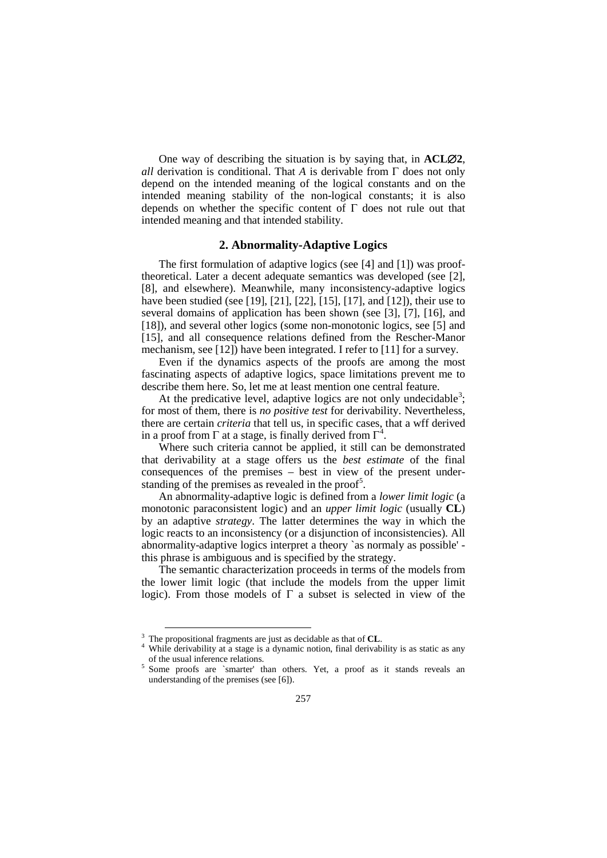One way of describing the situation is by saying that, in **ACL**∅**2**, *all* derivation is conditional. That *A* is derivable from Γ does not only depend on the intended meaning of the logical constants and on the intended meaning stability of the non-logical constants; it is also depends on whether the specific content of  $\Gamma$  does not rule out that intended meaning and that intended stability.

#### **2. Abnormality-Adaptive Logics**

The first formulation of adaptive logics (see [4] and [1]) was prooftheoretical. Later a decent adequate semantics was developed (see [2], [8], and elsewhere). Meanwhile, many inconsistency-adaptive logics have been studied (see [19], [21], [22], [15], [17], and [12]), their use to several domains of application has been shown (see [3], [7], [16], and [18]), and several other logics (some non-monotonic logics, see [5] and [15], and all consequence relations defined from the Rescher-Manor mechanism, see [12]) have been integrated. I refer to [11] for a survey.

Even if the dynamics aspects of the proofs are among the most fascinating aspects of adaptive logics, space limitations prevent me to describe them here. So, let me at least mention one central feature.

At the predicative level, adaptive logics are not only undecidable<sup>[3](#page-1-0)</sup>; for most of them, there is *no positive test* for derivability. Nevertheless, there are certain *criteria* that tell us, in specific cases, that a wff derived in a proof from  $\Gamma$  at a stage, is finally derived from  $\Gamma^4$  $\Gamma^4$ .

Where such criteria cannot be applied, it still can be demonstrated that derivability at a stage offers us the *best estimate* of the final consequences of the premises – best in view of the present under-standing of the premises as revealed in the proof<sup>[5](#page-1-2)</sup>.

An abnormality-adaptive logic is defined from a *lower limit logic* (a monotonic paraconsistent logic) and an *upper limit logic* (usually **CL**) by an adaptive *strategy*. The latter determines the way in which the logic reacts to an inconsistency (or a disjunction of inconsistencies). All abnormality-adaptive logics interpret a theory `as normaly as possible' this phrase is ambiguous and is specified by the strategy.

The semantic characterization proceeds in terms of the models from the lower limit logic (that include the models from the upper limit logic). From those models of  $\Gamma$  a subset is selected in view of the

 $\overline{a}$ 

<span id="page-1-1"></span><span id="page-1-0"></span><sup>&</sup>lt;sup>3</sup> The propositional fragments are just as decidable as that of **CL**.<br><sup>4</sup> While derivability at a stage is a dynamic notion, final derivability is as static as any of the usual inference relations.<br><sup>5</sup> Some proofs are `smarter' than others. Yet, a proof as it stands reveals an

<span id="page-1-2"></span>understanding of the premises (see [6]).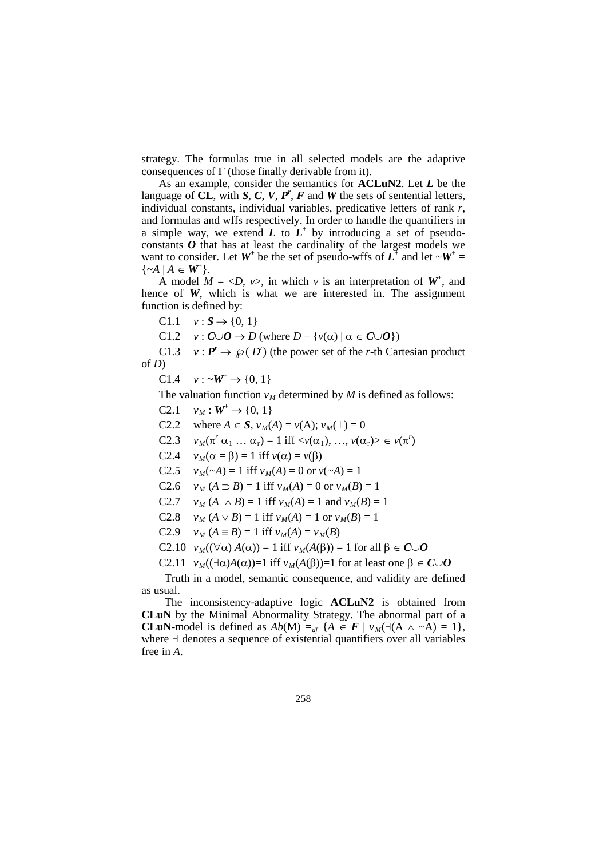strategy. The formulas true in all selected models are the adaptive consequences of  $\Gamma$  (those finally derivable from it).

As an example, consider the semantics for **ACLuN2**. Let *L* be the language of **CL**, with *S*, *C*, *V*, *Pr* , *F* and *W* the sets of sentential letters, individual constants, individual variables, predicative letters of rank *r*, and formulas and wffs respectively. In order to handle the quantifiers in a simple way, we extend  $L$  to  $L^+$  by introducing a set of pseudoconstants *O* that has at least the cardinality of the largest models we want to consider. Let  $W^+$  be the set of pseudo-wffs of  $L^+$  and let  $\sim W^+$  =  $\{\sim A \mid A \in W^+\}.$ 

A model  $M = \langle D, v \rangle$ , in which v is an interpretation of  $W^+$ , and hence of *W*, which is what we are interested in. The assignment function is defined by:

 $C1.1 \quad v: S \to \{0, 1\}$ 

 $C1.2$  *v* :  $C \cup O \rightarrow D$  (where  $D = \{v(\alpha) | \alpha \in C \cup O\}$ )

C1.3  $v: \mathbf{P}^r \to \wp(D^r)$  (the power set of the *r*-th Cartesian product of *D*)

 $C1.4 \quad v : \sim W^+ \rightarrow \{0, 1\}$ 

The valuation function  $v_M$  determined by *M* is defined as follows:

C2.1  $v_M : W^+ \to \{0, 1\}$ 

C2.2 where  $A \in S$ ,  $v_M(A) = v(A)$ ;  $v_M(\perp) = 0$ 

C2.3  $v_M(\pi' \alpha_1 ... \alpha_r) = 1$  iff  $\langle v(\alpha_1), ..., v(\alpha_r) \rangle \in v(\pi')$ 

C2.4  $v_M(\alpha = \beta) = 1$  iff  $v(\alpha) = v(\beta)$ 

C2.5  $v_M(\sim)A = 1$  iff  $v_M(A) = 0$  or  $v(\sim)A = 1$ 

C2.6  $v_M (A \supset B) = 1$  iff  $v_M(A) = 0$  or  $v_M(B) = 1$ 

C2.7 *v<sub>M</sub>*  $(A \wedge B) = 1$  iff  $v_M(A) = 1$  and  $v_M(B) = 1$ 

C2.8 
$$
v_M(A \vee B) = 1
$$
 iff  $v_M(A) = 1$  or  $v_M(B) = 1$ 

 $C2.9$  *v<sub>M</sub>*  $(A \equiv B) = 1$  iff  $v_M(A) = v_M(B)$ 

C2.10 
$$
v_M(\forall \alpha) A(\alpha) = 1
$$
 iff  $v_M(A(\beta)) = 1$  for all  $\beta \in \mathbb{C} \cup \mathbb{O}$ 

C2.11 
$$
v_M(\exists \alpha)A(\alpha)=1
$$
 iff  $v_M(A(\beta))=1$  for at least one  $\beta \in C \cup O$ 

Truth in a model, semantic consequence, and validity are defined as usual.

The inconsistency-adaptive logic **ACLuN2** is obtained from **CLuN** by the Minimal Abnormality Strategy. The abnormal part of a **CLuN**-model is defined as  $Ab(M) =_{df} {A \in F \mid v_M(\exists (A \land \neg A) = 1)},$ where ∃ denotes a sequence of existential quantifiers over all variables free in *A*.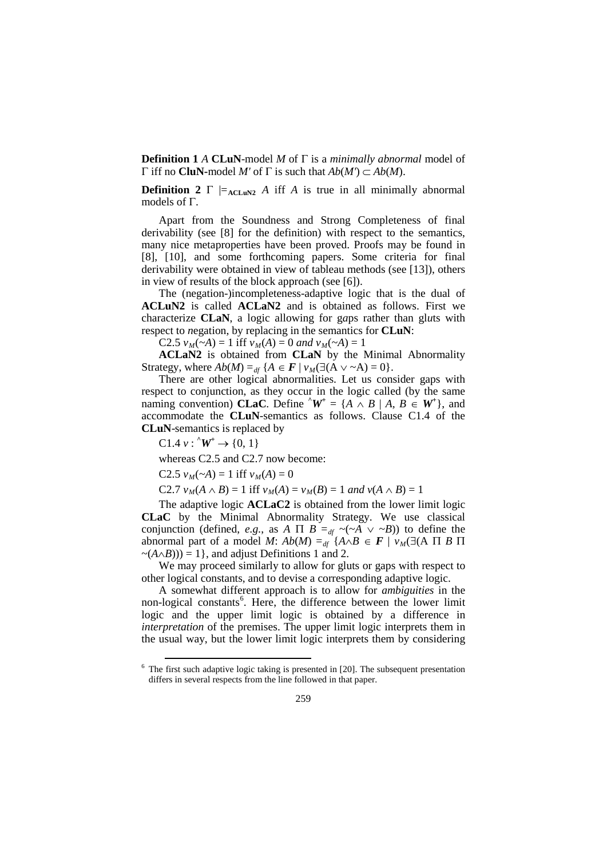**Definition 1** *A* **CLuN**-model *M* of Γ is a *minimally abnormal* model of Γ iff no **CluN-**model *M'* of Γ is such that *Ab*(*M'*) ⊂ *Ab*(*M*).

**Definition 2** Γ  $\models$   $\in$   $\in$   $\in$   $\in$   $\in$   $A$  iff *A* is true in all minimally abnormal models of Γ.

Apart from the Soundness and Strong Completeness of final derivability (see [8] for the definition) with respect to the semantics, many nice metaproperties have been proved. Proofs may be found in [8], [10], and some forthcoming papers. Some criteria for final derivability were obtained in view of tableau methods (see [13]), others in view of results of the block approach (see [6]).

The (negation-)incompleteness-adaptive logic that is the dual of **ACLuN2** is called **ACLaN2** and is obtained as follows. First we characterize **CLaN**, a logic allowing for g*a*ps rather than gl*u*ts with respect to *n*egation, by replacing in the semantics for **CLuN**:

 $C2.5 v_M(\sim) = 1$  iff  $v_M(A) = 0$  and  $v_M(\sim) = 1$ 

**ACLaN2** is obtained from **CLaN** by the Minimal Abnormality Strategy, where  $Ab(M) =_{df} \{A \in \mathbf{F} \mid v_M(\exists (A \vee \neg A) = 0)\}.$ 

There are other logical abnormalities. Let us consider gaps with respect to conjunction, as they occur in the logic called (by the same naming convention) **CLaC**. Define  $\hat{W}^+ = \{A \wedge B \mid A, B \in W^+\}$ , and accommodate the **CLuN**-semantics as follows. Clause C1.4 of the **CLuN**-semantics is replaced by

 $C1.4 v : \hat{W}^+ \to \{0, 1\}$ 

 $\overline{a}$ 

whereas C2.5 and C2.7 now become:

 $C2.5 v_M(\sim) = 1$  iff  $v_M(A) = 0$ 

 $C2.7 v_M(A \wedge B) = 1$  iff  $v_M(A) = v_M(B) = 1$  *and*  $v(A \wedge B) = 1$ 

The adaptive logic **ACLaC2** is obtained from the lower limit logic **CLaC** by the Minimal Abnormality Strategy. We use classical conjunction (defined, *e.g.*, as *A*  $\Pi$  *B* =  $d$ *f*  $\sim$   $(\sim$ *A*  $\vee$   $\sim$  *B*)) to define the abnormal part of a model *M*:  $Ab(M) = d_f$  { $A \wedge B \in F \mid v_M \in (A \Pi B \Pi B)$  $\sim(A \wedge B)) = 1$ , and adjust Definitions 1 and 2.

We may proceed similarly to allow for gluts or gaps with respect to other logical constants, and to devise a corresponding adaptive logic.

A somewhat different approach is to allow for *ambiguities* in the non-logical constants<sup>[6](#page-3-0)</sup>. Here, the difference between the lower limit logic and the upper limit logic is obtained by a difference in *interpretation* of the premises. The upper limit logic interprets them in the usual way, but the lower limit logic interprets them by considering

<span id="page-3-0"></span> $6$  The first such adaptive logic taking is presented in [20]. The subsequent presentation differs in several respects from the line followed in that paper.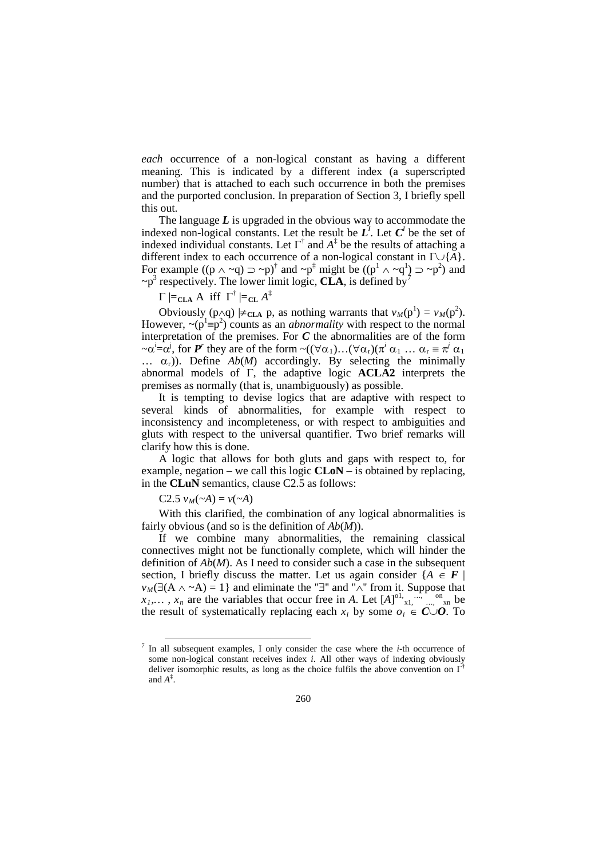*each* occurrence of a non-logical constant as having a different meaning. This is indicated by a different index (a superscripted number) that is attached to each such occurrence in both the premises and the purported conclusion. In preparation of Section 3, I briefly spell this out.

The language *L* is upgraded in the obvious way to accommodate the indexed non-logical constants. Let the result be  $L^I$ . Let  $C^I$  be the set of indexed individual constants. Let  $\Gamma^{\dagger}$  and  $A^{\dagger}$  be the results of attaching a different index to each occurrence of a non-logical constant in Γ∪{*A*}. For example  $((p \land \neg q) \supset \neg p)^{\dagger}$  and  $\neg p^{\dagger}$  might be  $((p^1 \land \neg q^1) \supset \neg p^2)$  and  $\sim p^3$  respectively. The lower limit logic, **CLA**, is defined by<sup>[7](#page-4-0)</sup>

 $\Gamma \models_{\text{CLA}} A$  iff  $\Gamma^{\dagger} \models_{\text{CL}} A^{\ddagger}$ 

Obviously (p∧q)  $\neq$ <sub>CLA</sub> p, as nothing warrants that  $v_M(p^1) = v_M(p^2)$ . However,  $\sim (p^1 \equiv p^2)$  counts as an *abnormality* with respect to the normal interpretation of the premises. For  $C$  the abnormalities are of the form  $-\alpha^i = \alpha^j$ , for *P<sup>r</sup>* they are of the form  $\sim ((\forall \alpha_1) \dots (\forall \alpha_r) (\pi^i \alpha_1 \dots \alpha_r \equiv \pi^i \alpha_1)$  $\ldots$   $\alpha_r$ )). Define *Ab*(*M*) accordingly. By selecting the minimally abnormal models of Γ, the adaptive logic **ACLA2** interprets the premises as normally (that is, unambiguously) as possible.

It is tempting to devise logics that are adaptive with respect to several kinds of abnormalities, for example with respect to inconsistency and incompleteness, or with respect to ambiguities and gluts with respect to the universal quantifier. Two brief remarks will clarify how this is done.

A logic that allows for both gluts and gaps with respect to, for example, negation – we call this logic **CLoN** – is obtained by replacing, in the **CLuN** semantics, clause C2.5 as follows:

 $C2.5 v_M(\sim) = v(\sim)$ 

 $\overline{a}$ 

With this clarified, the combination of any logical abnormalities is fairly obvious (and so is the definition of *Ab*(*M*)).

If we combine many abnormalities, the remaining classical connectives might not be functionally complete, which will hinder the definition of *Ab*(*M*). As I need to consider such a case in the subsequent section, I briefly discuss the matter. Let us again consider  ${A \in F}$  $v_M(\exists (A \land \sim A) = 1)$  and eliminate the "∃" and " $\land$ " from it. Suppose that  $x_1, \ldots, x_n$  are the variables that occur free in *A*. Let  $[A]$ <sup>o1</sup>,  $\ldots$ ,  $\ldots$ ,  $\ldots$ ,  $\ldots$  be the result of systematically replacing each  $x_i$  by some  $o_i \in C \cup O$ . To

<span id="page-4-0"></span><sup>7</sup> In all subsequent examples, I only consider the case where the *i*-th occurrence of some non-logical constant receives index *i*. All other ways of indexing obviously deliver isomorphic results, as long as the choice fulfils the above convention on  $\Gamma$ and  $A^{\ddagger}$ .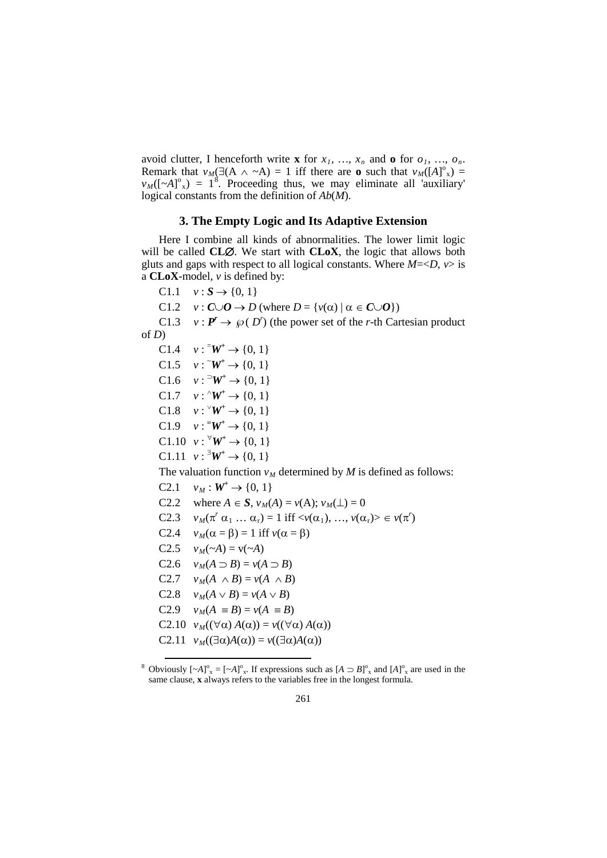avoid clutter, I henceforth write **x** for  $x_1$ , ...,  $x_n$  and **o** for  $o_1$ , ...,  $o_n$ . Remark that  $v_M(\exists (A \land \neg A) = 1$  iff there are **o** such that  $v_M([A]^\circ)_x$  =  $v_M([\sim A]^\circ)_x$  = 1<sup>[8](#page-5-0)</sup>. Proceeding thus, we may eliminate all 'auxiliary' logical constants from the definition of *Ab*(*M*).

### **3. The Empty Logic and Its Adaptive Extension**

Here I combine all kinds of abnormalities. The lower limit logic will be called **CL**∅. We start with **CLoX**, the logic that allows b*o*th gluts and gaps with respect to all logical constants. Where  $M=\langle D, v \rangle$  is a **CLoX**-model, *v* is defined by:

C1.1  $v: S \to \{0, 1\}$ 

 $\overline{a}$ 

 $C1.2$  *v* :  $C \cup O \rightarrow D$  (where  $D = \{v(\alpha) | \alpha \in C \cup O\}$ )

C1.3  $v: \mathbf{P}^r \to \wp(D^r)$  (the power set of the *r*-th Cartesian product of *D*)

C1.4  $v: {}^{=}\mathbf{W}^{+} \to \{0, 1\}$  $C1.5 \quad v : W^+ \to \{0, 1\}$  $C1.6 \quad v: \neg W^+ \to \{0, 1\}$  $C1.7 \quad v : \text{``}W^+ \rightarrow \{0, 1\}$  $C1.8 \quad v : {}^{\vee}W^+ \to \{0, 1\}$  $C1.9 \quad v: \overline{W}^+ \to \{0, 1\}$ C1.10  $v: {}^{\forall}W^{\dagger} \to \{0, 1\}$  $C1.11 \quad v: \exists W^+ \to \{0, 1\}$ The valuation function  $v_M$  determined by *M* is defined as follows: C2.1  $v_M : W^+ \to \{0, 1\}$ C2.2 where  $A \in S$ ,  $v_M(A) = v(A)$ ;  $v_M(\perp) = 0$ C2.3  $v_M(\pi' \alpha_1 ... \alpha_r) = 1$  iff  $\langle v(\alpha_1), ..., v(\alpha_r) \rangle \in v(\pi')$ C2.4  $v_M(\alpha = \beta) = 1$  iff  $v(\alpha = \beta)$ C2.5  $v_M(\sim)A = v(\sim)A$  $C2.6$   $v_M(A \supset B) = v(A \supset B)$ C2.7  $v_M(A \wedge B) = v(A \wedge B)$ C2.8  $v_M(A \vee B) = v(A \vee B)$ C2.9 *v*<sub>*M*</sub>(*A* ≡ *B*) = *v*(*A* ≡ *B*) C2.10  $v_M((\forall \alpha) A(\alpha)) = v((\forall \alpha) A(\alpha))$ C2.11  $v_M(\exists \alpha)A(\alpha) = v(\exists \alpha)A(\alpha)$ 

<span id="page-5-0"></span><sup>&</sup>lt;sup>8</sup> Obviously  $[\sim A]$ <sup>o</sup><sub>x</sub> =  $[\sim A]$ <sup>o</sup><sub>x</sub>. If expressions such as  $[A \supset B]$ <sup>o</sup><sub>x</sub> and  $[A]$ <sup>o</sup><sub>x</sub> are used in the same clause, **x** always refers to the variables free in the longest formula.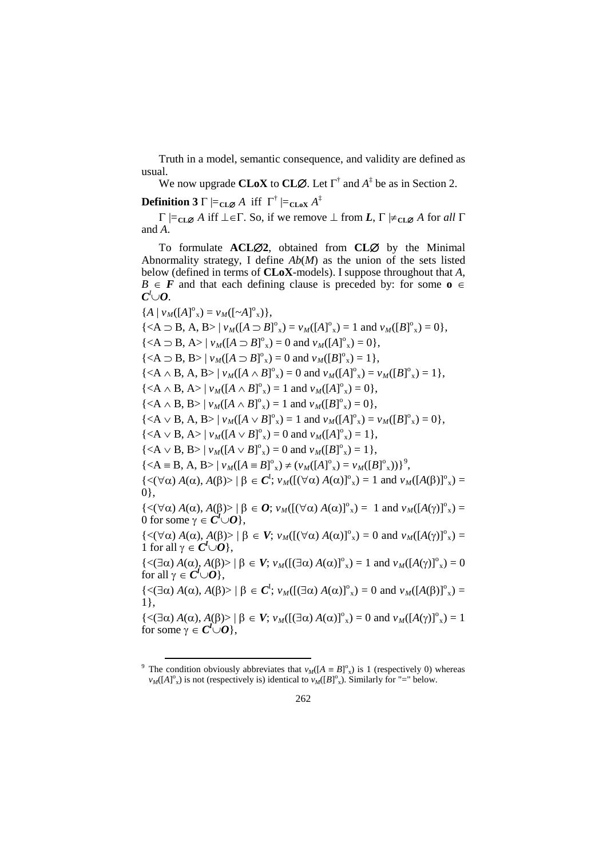Truth in a model, semantic consequence, and validity are defined as usual.

We now upgrade **CLoX** to **CL** $\varnothing$ . Let  $\Gamma^{\dagger}$  and  $A^{\dagger}$  be as in Section 2.

**Definition 3** Γ  $\models$ **CL** $\alpha$  *A* iff  $\Gamma^{\dagger} \models$ **CL** $\alpha$ **x**  $A^{\dagger}$ 

Γ |=**CL**<sup>∅</sup> *A* iff ⊥∈Γ. So, if we remove ⊥ from *L*, Γ |≠**CL**<sup>∅</sup> *A* for *all* Γ and *A*.

To formulate **ACL**∅**2**, obtained from **CL**∅ by the Minimal Abnormality strategy, I define *Ab*(*M*) as the union of the sets listed below (defined in terms of **CLoX**-models). I suppose throughout that *A*,  $B \in F$  and that each defining clause is preceded by: for some **o** ∈ *CI* ∪*O*.

 ${A \mid v_M([A]^o_x) = v_M([A]^o_x)},$  ${} | v\_M\(\[A \supset B\]^{\circ}\_x\) = v\_M\(\[A\]^{\circ}\_x\) = 1$  and  $v_M([B]^{\circ}_x) = 0},$  $\{| \nu\_M\(\[A \supset B\]^{\circ}\_x\) = 0 \text{ and } \nu\_M\(\[A\]^{\circ}\_x\) = 0 \},$  $\{| \nu\_M\(\[A \supset B\]^{\circ}\_x\) = 0 \text{ and } \nu\_M\(\[B\]^{\circ}\_x\) = 1 \},$  ${} \mid v\_M\(\[A \wedge B\]^{\circ}\_x\) = 0$  and  $v_M([A]^{\circ}_x) = v_M([B]^{\circ}_x) = 1}$ ,  $\{| v\_M\(\[A \wedge B\]^{\circ}\_x\) = 1 \text{ and } v\_M\(\[A\]^{\circ}\_x\) = 0 \},\$  $\{| \nu\_M\(\[A \wedge B\]^{\circ}\_x\) = 1 \text{ and } \nu\_M\(\[B\]^{\circ}\_x\) = 0 \},\$  $\{| v\_M\(\[A \vee B\]^{\circ}\_x\) = 1 \text{ and } v\_M\(\[A\]^{\circ}\_x\) = v\_M\(\[B\]^{\circ}\_x\) = 0 \},$  $\{< A \vee B, A> | \nu_M([A \vee B]^{\circ}_x) = 0 \text{ and } \nu_M([A]^{\circ}_x) = 1 \},$  $\{| \nu\_M\(\[A \vee B\]^{\circ}\_x\) = 0 \text{ and } \nu\_M\(\[B\]^{\circ}\_x\) = 1 \},$  ${| v\_M\(\[A \equiv B\]^{\circ}\_x\) \neq \(v\_M\(\[A\]^{\circ}\_x\) = v\_M\(\[B\]^{\circ}\_x\)\) }^9,$  ${| v\_M\(\[A \equiv B\]^{\circ}\_x\) \neq \(v\_M\(\[A\]^{\circ}\_x\) = v\_M\(\[B\]^{\circ}\_x\)\) }^9,$  ${| v\_M\(\[A \equiv B\]^{\circ}\_x\) \neq \(v\_M\(\[A\]^{\circ}\_x\) = v\_M\(\[B\]^{\circ}\_x\)\) }^9,$  $\{\langle \langle \forall \alpha \rangle A(\alpha), A(\beta) \rangle \mid \beta \in C^{\mathcal{I}}; v_M([\langle \forall \alpha \rangle A(\alpha)]^{\circ}_x) = 1 \text{ and } v_M([\mathcal{A}(\beta)]^{\circ}_x) = 1 \}$ 0},  $\{\langle \langle \forall \alpha \rangle A(\alpha), A(\beta) \rangle \mid \beta \in \mathbf{O}; v_M([\langle \forall \alpha \rangle A(\alpha)]^{\circ}_x) = 1 \text{ and } v_M([\mathbf{A}(\gamma)]^{\circ}_x) = 1 \text{ and } v_M([\mathbf{A}(\gamma)]^{\circ}_x) = 1 \text{ and } v_M([\mathbf{A}(\gamma)]^{\circ}_x) = 1 \text{ and } v_M([\mathbf{A}(\gamma)]^{\circ}_x) = 1 \text{ and } v_M([\mathbf{A}(\gamma)]^{\circ}_x) = 1 \text{ and } v_M([\mathbf{A}(\gamma)]^{\circ}_x) = 1 \text{ and } v_M([\mathbf{A}(\$  $0$  for some  $γ ∈ C<sup>I</sup> ∪ O$ ,  ${< (\forall \alpha) A(\alpha), A(\beta) > |\beta \in V; v_M([\forall \alpha) A(\alpha)]^{\circ}_x) = 0 \text{ and } v_M([A(\gamma)]^{\circ}_x) = 0}$ 1 for all γ ∈ *CI* ∪*O*},  $\{\langle \langle \exists \alpha \rangle A(\alpha), A(\beta) \rangle | \beta \in V; v_M([\exists \alpha) A(\alpha)]^{\circ}_x \rangle = 1 \text{ and } v_M([\{A(\gamma)\}]^{\circ}_x) = 0$ for all  $\gamma \in C^{\prime} \cup O$ ,  ${<} (\leq \exists \alpha) A(\alpha), A(\beta) > | \beta \in C^{\mathcal{I}}; v_M([(\exists \alpha) A(\alpha)]^{\circ}_x) = 0 \text{ and } v_M([A(\beta)]^{\circ}_x) =$ 1},  $\{\langle \exists \alpha \rangle A(\alpha), A(\beta) \rangle \mid \beta \in V; v_M([\exists \alpha) A(\alpha)]^{\circ}_x) = 0 \text{ and } v_M([\{A(\gamma)\}^{\circ}_x) = 1$ for some  $\gamma \in C^{\prime} \cup O$ ,

 $\overline{a}$ 

<span id="page-6-0"></span><sup>&</sup>lt;sup>9</sup> The condition obviously abbreviates that  $v_M([A \equiv B]^\circ)_x$  is 1 (respectively 0) whereas  $v_M([A]^\circ)_x$  is not (respectively is) identical to  $v_M([B]^\circ)_x$ . Similarly for "=" below.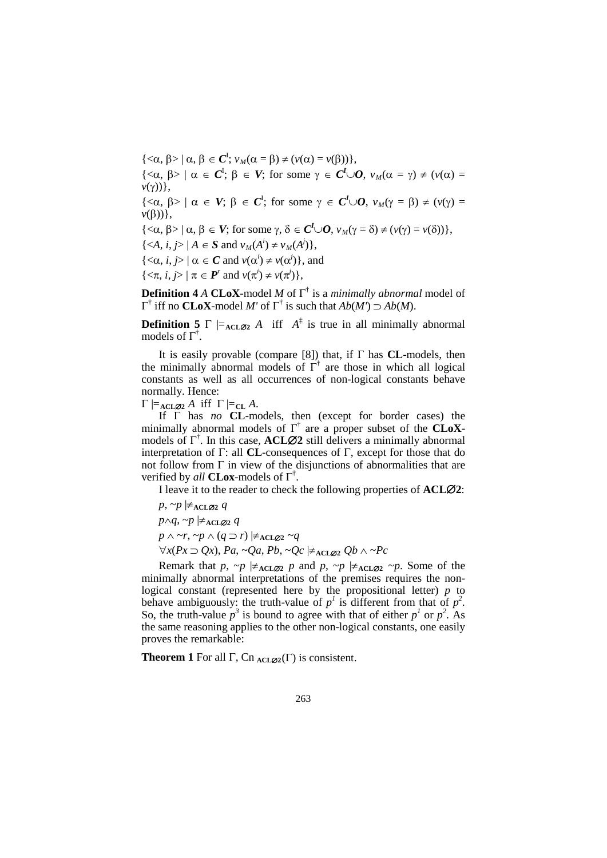$\{<\alpha, \beta>\mid \alpha, \beta \in C^{\mathsf{I}}; v_M(\alpha=\beta) \neq (v(\alpha)=v(\beta))\},\$ { $\langle \alpha, \beta \rangle \mid \alpha \in C^1$ ;  $\beta \in V$ ; for some  $\gamma \in C^1 \cup O$ ,  $v_M(\alpha = \gamma) \neq (v(\alpha) =$ *v*(γ))}, {< $\alpha$ ,  $\beta$  > |  $\alpha \in V$ ;  $\beta \in C^I$ ; for some  $\gamma \in C^I \cup O$ ,  $v_M(\gamma = \beta) \neq (v(\gamma) =$ *v*(β))}, { $<\alpha, \beta> |\alpha, \beta \in V$ ; for some  $\gamma, \delta \in C^{\mathcal{U}} \cup \mathcal{O}, \nu_M(\gamma = \delta) \neq (\nu(\gamma) = \nu(\delta))$ },  $\{ \langle A, i, j \rangle \mid A \in S \text{ and } v_M(A^i) \neq v_M(A^j) \},$  $\{<\alpha, i, j>|\alpha \in \mathbb{C} \text{ and } v(\alpha^i) \neq v(\alpha^j)\}\text{, and}$  $\{ \langle \pi, i, j \rangle \mid \pi \in \mathbf{P}^r \text{ and } v(\pi^i) \neq v(\pi^j) \},$ 

**Definition 4** *A* **CLoX**-model *M* of Γ† is a *minimally abnormal* model of Γ† iff no **CLoX**-model *M'* of Γ† is such that *Ab*(*M'*) ⊃ *Ab*(*M*).

**Definition 5**  $\Gamma$   $\models$   $\angle$ **A** $\angle$  **A** $\angle$  *A* $\angle$  *A* $\angle$  *A* $\angle$  *i* ff *A* $\angle$  *A* $\angle$  *i* s true in all minimally abnormal models of  $\Gamma^{\dagger}$ .

It is easily provable (compare [8]) that, if Γ has **CL**-models, then the minimally abnormal models of  $\Gamma^{\dagger}$  are those in which all logical constants as well as all occurrences of non-logical constants behave normally. Hence:

 $\Gamma \models_{\text{ALQ2}} A$  iff  $\Gamma \models_{\text{CL}} A$ .

If Γ has *no* **CL**-models, then (except for border cases) the minimally abnormal models of Γ† are a proper subset of the **CLoX**models of Γ† . In this case, **ACL**∅**2** still delivers a minimally abnormal interpretation of Γ: all **CL**-consequences of Γ, except for those that do not follow from Γ in view of the disjunctions of abnormalities that are verified by *all* **CLox**-models of Γ† .

I leave it to the reader to check the following properties of **ACL**∅**2**:

$$
p, \neg p \not\models_{\text{ACL}\varnothing 2} q
$$
  
\n
$$
p \land q, \neg p \not\models_{\text{ACL}\varnothing 2} q
$$
  
\n
$$
p \land \neg r, \neg p \land (q \supset r) \not\models_{\text{ACL}\varnothing 2} \neg q
$$
  
\n
$$
\forall x (Px \supset Qx), Pa, \neg Qa, Pb, \neg Qc \not\models_{\text{ACL}\varnothing 2} Qb \land \neg Pc
$$

Remark that  $p$ ,  $\neg p$   $\not\models$  ACL $\emptyset$ 2  $p$  and  $p$ ,  $\neg p$   $\not\models$  ACL $\emptyset$ 2  $\neg p$ . Some of the minimally abnormal interpretations of the premises requires the nonlogical constant (represented here by the propositional letter) *p* to behave ambiguously: the truth-value of  $p<sup>1</sup>$  is different from that of  $p<sup>2</sup>$ . So, the truth-value  $p^3$  is bound to agree with that of either  $p^1$  or  $p^2$ . As the same reasoning applies to the other non-logical constants, one easily proves the remarkable:

**Theorem 1** For all  $\Gamma$ , Cn  $_{\text{ACLØ2}}(\Gamma)$  is consistent.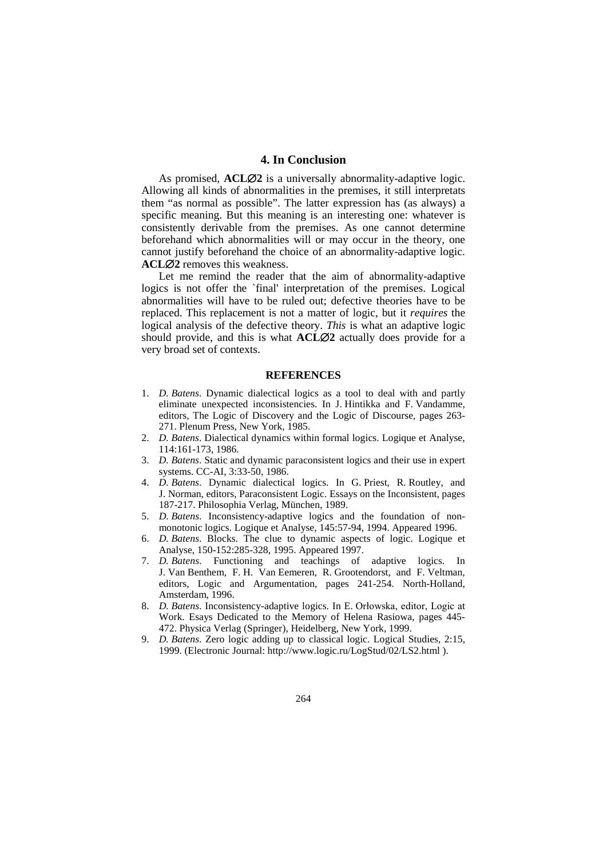#### **4. In Conclusion**

As promised, **ACL** $\varnothing$ **2** is a universally abnormality-adaptive logic. Allowing all kinds of abnormalities in the premises, it still interpretats them "as normal as possible". The latter expression has (as always) a specific meaning. But this meaning is an interesting one: whatever is consistently derivable from the premises. As one cannot determine beforehand which abnormalities will or may occur in the theory, one cannot justify beforehand the choice of an abnormality-adaptive logic. **ACL**∅**2** removes this weakness.

Let me remind the reader that the aim of abnormality-adaptive logics is not offer the `final' interpretation of the premises. Logical abnormalities will have to be ruled out; defective theories have to be replaced. This replacement is not a matter of logic, but it *requires* the logical analysis of the defective theory. *This* is what an adaptive logic should provide, and this is what **ACL**∅**2** actually does provide for a very broad set of contexts.

#### **REFERENCES**

- 1. *D. Batens*. Dynamic dialectical logics as a tool to deal with and partly eliminate unexpected inconsistencies. In J. Hintikka and F. Vandamme, editors, The Logic of Discovery and the Logic of Discourse, pages 263- 271. Plenum Press, New York, 1985.
- 2. *D. Batens*. Dialectical dynamics within formal logics. Logique et Analyse, 114:161-173, 1986.
- 3. *D. Batens*. Static and dynamic paraconsistent logics and their use in expert systems. CC-AI, 3:33-50, 1986.
- 4. *D. Batens*. Dynamic dialectical logics. In G. Priest, R. Routley, and J. Norman, editors, Paraconsistent Logic. Essays on the Inconsistent, pages 187-217. Philosophia Verlag, München, 1989.
- 5. *D. Batens*. Inconsistency-adaptive logics and the foundation of nonmonotonic logics. Logique et Analyse, 145:57-94, 1994. Appeared 1996.
- 6. *D. Batens*. Blocks. The clue to dynamic aspects of logic. Logique et Analyse, 150-152:285-328, 1995. Appeared 1997.
- 7. *D. Batens*. Functioning and teachings of adaptive logics. In J. Van Benthem, F. H. Van Eemeren, R. Grootendorst, and F. Veltman, editors, Logic and Argumentation, pages 241-254. North-Holland, Amsterdam, 1996.
- 8. *D. Batens*. Inconsistency-adaptive logics. In E. Orłowska, editor, Logic at Work. Esays Dedicated to the Memory of Helena Rasiowa, pages 445- 472. Physica Verlag (Springer), Heidelberg, New York, 1999.
- 9. *D. Batens*. Zero logic adding up to classical logic. Logical Studies, 2:15, 1999. (Electronic Journal: http://www.logic.ru/LogStud/02/LS2.html ).